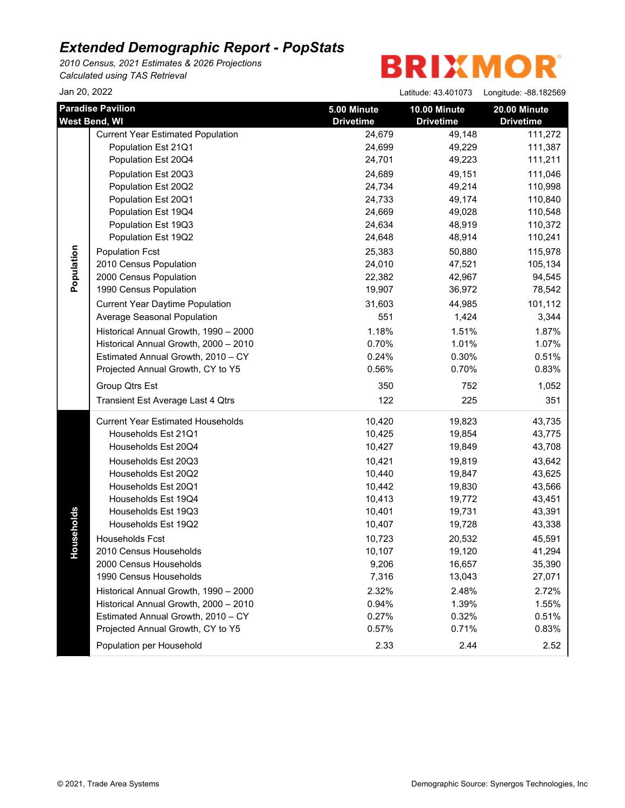*2010 Census, 2021 Estimates & 2026 Projections Calculated using TAS Retrieval*

| Jan 20, 2022 |                                                                                                                                                                                                                                                                                                                                                                                                                                                                                                                            |                                                                                                                                                                          | Latitude: 43.401073                                                                                                                                                        | Longitude: -88.182569                                                                                                                                                      |
|--------------|----------------------------------------------------------------------------------------------------------------------------------------------------------------------------------------------------------------------------------------------------------------------------------------------------------------------------------------------------------------------------------------------------------------------------------------------------------------------------------------------------------------------------|--------------------------------------------------------------------------------------------------------------------------------------------------------------------------|----------------------------------------------------------------------------------------------------------------------------------------------------------------------------|----------------------------------------------------------------------------------------------------------------------------------------------------------------------------|
|              | <b>Paradise Pavilion</b>                                                                                                                                                                                                                                                                                                                                                                                                                                                                                                   | 5.00 Minute                                                                                                                                                              | 10.00 Minute                                                                                                                                                               | 20.00 Minute                                                                                                                                                               |
|              | <b>West Bend, WI</b>                                                                                                                                                                                                                                                                                                                                                                                                                                                                                                       | <b>Drivetime</b>                                                                                                                                                         | <b>Drivetime</b>                                                                                                                                                           | <b>Drivetime</b>                                                                                                                                                           |
| Population   | <b>Current Year Estimated Population</b>                                                                                                                                                                                                                                                                                                                                                                                                                                                                                   | 24,679                                                                                                                                                                   | 49,148                                                                                                                                                                     | 111,272                                                                                                                                                                    |
|              | Population Est 21Q1                                                                                                                                                                                                                                                                                                                                                                                                                                                                                                        | 24,699                                                                                                                                                                   | 49,229                                                                                                                                                                     | 111,387                                                                                                                                                                    |
|              | Population Est 20Q4                                                                                                                                                                                                                                                                                                                                                                                                                                                                                                        | 24,701                                                                                                                                                                   | 49,223                                                                                                                                                                     | 111,211                                                                                                                                                                    |
|              | Population Est 20Q3                                                                                                                                                                                                                                                                                                                                                                                                                                                                                                        | 24,689                                                                                                                                                                   | 49,151                                                                                                                                                                     | 111,046                                                                                                                                                                    |
|              | Population Est 20Q2                                                                                                                                                                                                                                                                                                                                                                                                                                                                                                        | 24,734                                                                                                                                                                   | 49,214                                                                                                                                                                     | 110,998                                                                                                                                                                    |
|              | Population Est 20Q1                                                                                                                                                                                                                                                                                                                                                                                                                                                                                                        | 24,733                                                                                                                                                                   | 49,174                                                                                                                                                                     | 110,840                                                                                                                                                                    |
|              | Population Est 19Q4                                                                                                                                                                                                                                                                                                                                                                                                                                                                                                        | 24,669                                                                                                                                                                   | 49,028                                                                                                                                                                     | 110,548                                                                                                                                                                    |
|              | Population Est 19Q3                                                                                                                                                                                                                                                                                                                                                                                                                                                                                                        | 24,634                                                                                                                                                                   | 48,919                                                                                                                                                                     | 110,372                                                                                                                                                                    |
|              | Population Est 19Q2                                                                                                                                                                                                                                                                                                                                                                                                                                                                                                        | 24,648                                                                                                                                                                   | 48,914                                                                                                                                                                     | 110,241                                                                                                                                                                    |
|              | <b>Population Fcst</b>                                                                                                                                                                                                                                                                                                                                                                                                                                                                                                     | 25,383                                                                                                                                                                   | 50,880                                                                                                                                                                     | 115,978                                                                                                                                                                    |
|              | 2010 Census Population                                                                                                                                                                                                                                                                                                                                                                                                                                                                                                     | 24,010                                                                                                                                                                   | 47,521                                                                                                                                                                     | 105,134                                                                                                                                                                    |
|              | 2000 Census Population                                                                                                                                                                                                                                                                                                                                                                                                                                                                                                     | 22,382                                                                                                                                                                   | 42,967                                                                                                                                                                     | 94,545                                                                                                                                                                     |
|              | 1990 Census Population                                                                                                                                                                                                                                                                                                                                                                                                                                                                                                     | 19,907                                                                                                                                                                   | 36,972                                                                                                                                                                     | 78,542                                                                                                                                                                     |
|              | <b>Current Year Daytime Population</b>                                                                                                                                                                                                                                                                                                                                                                                                                                                                                     | 31,603                                                                                                                                                                   | 44,985                                                                                                                                                                     | 101,112                                                                                                                                                                    |
|              | Average Seasonal Population                                                                                                                                                                                                                                                                                                                                                                                                                                                                                                | 551                                                                                                                                                                      | 1,424                                                                                                                                                                      | 3,344                                                                                                                                                                      |
|              | Historical Annual Growth, 1990 - 2000                                                                                                                                                                                                                                                                                                                                                                                                                                                                                      | 1.18%                                                                                                                                                                    | 1.51%                                                                                                                                                                      | 1.87%                                                                                                                                                                      |
|              | Historical Annual Growth, 2000 - 2010                                                                                                                                                                                                                                                                                                                                                                                                                                                                                      | 0.70%                                                                                                                                                                    | 1.01%                                                                                                                                                                      | 1.07%                                                                                                                                                                      |
|              | Estimated Annual Growth, 2010 - CY                                                                                                                                                                                                                                                                                                                                                                                                                                                                                         | 0.24%                                                                                                                                                                    | 0.30%                                                                                                                                                                      | 0.51%                                                                                                                                                                      |
|              | Projected Annual Growth, CY to Y5                                                                                                                                                                                                                                                                                                                                                                                                                                                                                          | 0.56%                                                                                                                                                                    | 0.70%                                                                                                                                                                      | 0.83%                                                                                                                                                                      |
|              | Group Qtrs Est                                                                                                                                                                                                                                                                                                                                                                                                                                                                                                             | 350                                                                                                                                                                      | 752                                                                                                                                                                        | 1,052                                                                                                                                                                      |
|              | Transient Est Average Last 4 Qtrs                                                                                                                                                                                                                                                                                                                                                                                                                                                                                          | 122                                                                                                                                                                      | 225                                                                                                                                                                        | 351                                                                                                                                                                        |
| seholds<br>유 | <b>Current Year Estimated Households</b><br>Households Est 21Q1<br>Households Est 20Q4<br>Households Est 20Q3<br>Households Est 20Q2<br>Households Est 20Q1<br>Households Est 19Q4<br>Households Est 19Q3<br>Households Est 19Q2<br>Households Fcst<br>2010 Census Households<br>2000 Census Households<br>1990 Census Households<br>Historical Annual Growth, 1990 - 2000<br>Historical Annual Growth, 2000 - 2010<br>Estimated Annual Growth, 2010 - CY<br>Projected Annual Growth, CY to Y5<br>Population per Household | 10,420<br>10,425<br>10,427<br>10,421<br>10,440<br>10,442<br>10,413<br>10,401<br>10,407<br>10,723<br>10,107<br>9,206<br>7,316<br>2.32%<br>0.94%<br>0.27%<br>0.57%<br>2.33 | 19,823<br>19,854<br>19,849<br>19,819<br>19,847<br>19,830<br>19,772<br>19,731<br>19,728<br>20,532<br>19,120<br>16,657<br>13,043<br>2.48%<br>1.39%<br>0.32%<br>0.71%<br>2.44 | 43,735<br>43,775<br>43,708<br>43,642<br>43,625<br>43,566<br>43,451<br>43,391<br>43,338<br>45,591<br>41,294<br>35,390<br>27,071<br>2.72%<br>1.55%<br>0.51%<br>0.83%<br>2.52 |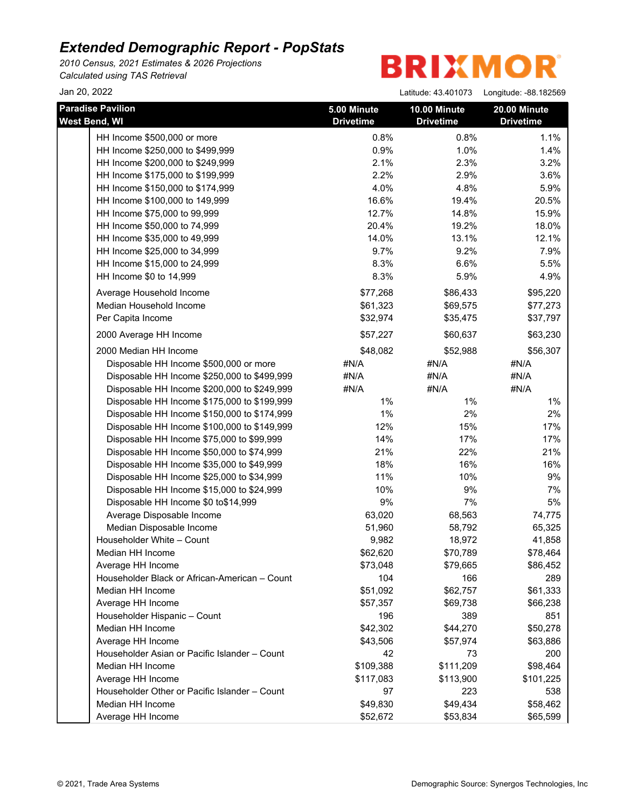*2010 Census, 2021 Estimates & 2026 Projections Calculated using TAS Retrieval*

| Jan 20, 2022                                  |                                 | Latitude: 43.401073              | Longitude: -88.182569            |
|-----------------------------------------------|---------------------------------|----------------------------------|----------------------------------|
| <b>Paradise Pavilion</b><br>West Bend, WI     | 5.00 Minute<br><b>Drivetime</b> | 10.00 Minute<br><b>Drivetime</b> | 20.00 Minute<br><b>Drivetime</b> |
| HH Income \$500,000 or more                   | 0.8%                            | 0.8%                             | 1.1%                             |
| HH Income \$250,000 to \$499,999              | 0.9%                            | 1.0%                             | 1.4%                             |
| HH Income \$200,000 to \$249,999              | 2.1%                            | 2.3%                             | 3.2%                             |
| HH Income \$175,000 to \$199,999              | 2.2%                            | 2.9%                             | 3.6%                             |
| HH Income \$150,000 to \$174,999              | 4.0%                            | 4.8%                             | 5.9%                             |
| HH Income \$100,000 to 149,999                | 16.6%                           | 19.4%                            | 20.5%                            |
| HH Income \$75,000 to 99,999                  | 12.7%                           | 14.8%                            | 15.9%                            |
| HH Income \$50,000 to 74,999                  | 20.4%                           | 19.2%                            | 18.0%                            |
| HH Income \$35,000 to 49,999                  | 14.0%                           | 13.1%                            | 12.1%                            |
| HH Income \$25,000 to 34,999                  | 9.7%                            | 9.2%                             | 7.9%                             |
| HH Income \$15,000 to 24,999                  | 8.3%                            | 6.6%                             | 5.5%                             |
| HH Income \$0 to 14,999                       | 8.3%                            | 5.9%                             | 4.9%                             |
| Average Household Income                      | \$77,268                        | \$86,433                         | \$95,220                         |
| Median Household Income                       | \$61,323                        | \$69,575                         | \$77,273                         |
| Per Capita Income                             | \$32,974                        | \$35,475                         | \$37,797                         |
| 2000 Average HH Income                        | \$57,227                        | \$60,637                         | \$63,230                         |
| 2000 Median HH Income                         | \$48,082                        | \$52,988                         | \$56,307                         |
| Disposable HH Income \$500,000 or more        | #N/A                            | #N/A                             | #N/A                             |
| Disposable HH Income \$250,000 to \$499,999   | #N/A                            | #N/A                             | #N/A                             |
| Disposable HH Income \$200,000 to \$249,999   | #N/A                            | #N/A                             | #N/A                             |
| Disposable HH Income \$175,000 to \$199,999   | 1%                              | 1%                               | $1\%$                            |
| Disposable HH Income \$150,000 to \$174,999   | 1%                              | 2%                               | 2%                               |
| Disposable HH Income \$100,000 to \$149,999   | 12%                             | 15%                              | 17%                              |
| Disposable HH Income \$75,000 to \$99,999     | 14%                             | 17%                              | 17%                              |
| Disposable HH Income \$50,000 to \$74,999     | 21%                             | 22%                              | 21%                              |
| Disposable HH Income \$35,000 to \$49,999     | 18%                             | 16%                              | 16%                              |
| Disposable HH Income \$25,000 to \$34,999     | 11%                             | 10%                              | 9%                               |
| Disposable HH Income \$15,000 to \$24,999     | 10%                             | 9%                               | 7%                               |
| Disposable HH Income \$0 to\$14,999           | 9%                              | 7%                               | 5%                               |
| Average Disposable Income                     | 63,020                          | 68,563                           | 74,775                           |
| Median Disposable Income                      | 51,960                          | 58,792                           | 65,325                           |
| Householder White - Count                     | 9,982                           | 18,972                           | 41,858                           |
| Median HH Income                              | \$62,620                        | \$70,789                         | \$78,464                         |
| Average HH Income                             | \$73,048                        | \$79,665                         | \$86,452                         |
| Householder Black or African-American - Count | 104                             | 166                              | 289                              |
| Median HH Income                              | \$51,092                        | \$62,757                         | \$61,333                         |
| Average HH Income                             | \$57,357                        | \$69,738                         | \$66,238                         |
| Householder Hispanic - Count                  | 196                             | 389                              | 851                              |
| Median HH Income                              | \$42,302                        | \$44,270                         | \$50,278                         |
| Average HH Income                             | \$43,506                        | \$57,974                         | \$63,886                         |
| Householder Asian or Pacific Islander - Count | 42                              | 73                               | 200                              |
| Median HH Income                              | \$109,388                       | \$111,209                        | \$98,464                         |
| Average HH Income                             | \$117,083                       | \$113,900                        | \$101,225                        |
| Householder Other or Pacific Islander - Count | 97                              | 223                              | 538                              |
| Median HH Income                              | \$49,830                        | \$49,434                         | \$58,462                         |
| Average HH Income                             | \$52,672                        | \$53,834                         | \$65,599                         |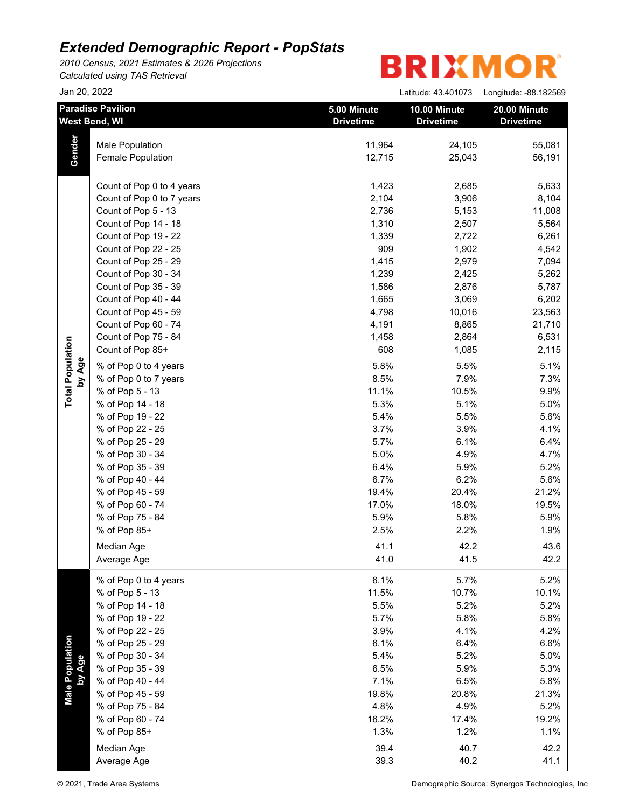*2010 Census, 2021 Estimates & 2026 Projections Calculated using TAS Retrieval*

| Jan 20, 2022                      |                                                                               |                                 | Latitude: 43.401073              | Longitude: - 88.182569                                 |
|-----------------------------------|-------------------------------------------------------------------------------|---------------------------------|----------------------------------|--------------------------------------------------------|
|                                   | <b>Paradise Pavilion</b><br>West Bend, WI                                     | 5.00 Minute<br><b>Drivetime</b> | 10.00 Minute<br><b>Drivetime</b> | 20.00 Minute<br><b>Drivetime</b>                       |
| Gender                            | <b>Male Population</b><br><b>Female Population</b>                            | 11,964<br>12,715                | 24,105<br>25,043                 | 55,081<br>56,191                                       |
|                                   | Count of Pop 0 to 4 years<br>Count of Pop 0 to 7 years<br>Count of Pop 5 - 13 | 1,423<br>2,104<br>2,736         | 2,685<br>3,906<br>5,153          | 5,633<br>8,104<br>11,008                               |
|                                   | Count of Pop 14 - 18<br>Count of Pop 19 - 22<br>Count of Pop 22 - 25          | 1,310<br>1,339<br>909           | 2,507<br>2,722<br>1,902          | 5,564<br>6,261<br>4,542                                |
|                                   | Count of Pop 25 - 29<br>Count of Pop 30 - 34<br>Count of Pop 35 - 39          | 1,415<br>1,239<br>1,586         | 2,979<br>2,425<br>2,876          | 7,094<br>5,262<br>5,787                                |
|                                   | Count of Pop 40 - 44<br>Count of Pop 45 - 59<br>Count of Pop 60 - 74          | 1,665<br>4,798<br>4,191         | 3,069<br>10,016<br>8,865         | 6,202<br>23,563<br>21,710                              |
| <b>Total Population</b><br>by Age | Count of Pop 75 - 84<br>Count of Pop 85+<br>% of Pop 0 to 4 years             | 1,458<br>608<br>5.8%            | 2,864<br>1,085<br>5.5%           | 6,531<br>2,115<br>5.1%                                 |
|                                   | % of Pop 0 to 7 years<br>% of Pop 5 - 13<br>% of Pop 14 - 18                  | 8.5%<br>11.1%<br>5.3%           | 7.9%<br>10.5%<br>5.1%            | 7.3%<br>9.9%<br>5.0%                                   |
|                                   | % of Pop 19 - 22<br>% of Pop 22 - 25<br>% of Pop 25 - 29                      | 5.4%<br>3.7%<br>5.7%            | 5.5%<br>3.9%<br>6.1%             | 5.6%<br>4.1%<br>6.4%                                   |
|                                   | % of Pop 30 - 34<br>% of Pop 35 - 39<br>% of Pop 40 - 44                      | 5.0%<br>6.4%<br>6.7%            | 4.9%<br>5.9%<br>6.2%             | 4.7%<br>5.2%<br>5.6%                                   |
|                                   | % of Pop 45 - 59<br>% of Pop 60 - 74<br>% of Pop 75 - 84                      | 19.4%<br>17.0%<br>5.9%          | 20.4%<br>18.0%<br>5.8%           | 21.2%<br>19.5%<br>5.9%                                 |
|                                   | % of Pop 85+<br>Median Age<br>Average Age                                     | 2.5%<br>41.1<br>41.0            | 2.2%<br>42.2<br>41.5             | 1.9%<br>43.6<br>42.2                                   |
| Male Population<br>by Age         | % of Pop 0 to 4 years<br>% of Pop 5 - 13                                      | 6.1%<br>11.5%                   | 5.7%<br>10.7%                    | 5.2%<br>10.1%                                          |
|                                   | % of Pop 14 - 18<br>% of Pop 19 - 22<br>% of Pop 22 - 25                      | 5.5%<br>5.7%<br>3.9%            | 5.2%<br>5.8%<br>4.1%             | 5.2%<br>5.8%<br>4.2%                                   |
|                                   | % of Pop 25 - 29<br>% of Pop 30 - 34<br>% of Pop 35 - 39                      | 6.1%<br>5.4%<br>6.5%            | 6.4%<br>5.2%<br>5.9%             | 6.6%<br>5.0%<br>5.3%                                   |
|                                   | % of Pop 40 - 44<br>% of Pop 45 - 59<br>% of Pop 75 - 84                      | 7.1%<br>19.8%<br>4.8%           | 6.5%<br>20.8%<br>4.9%            | 5.8%<br>21.3%<br>5.2%                                  |
|                                   | % of Pop 60 - 74<br>% of Pop 85+<br>Median Age                                | 16.2%<br>1.3%<br>39.4           | 17.4%<br>1.2%<br>40.7            | 19.2%<br>1.1%<br>42.2                                  |
|                                   | Average Age<br>© 2021, Trade Area Systems                                     | 39.3                            | 40.2                             | 41.1<br>Demographic Source: Synergos Technologies, Inc |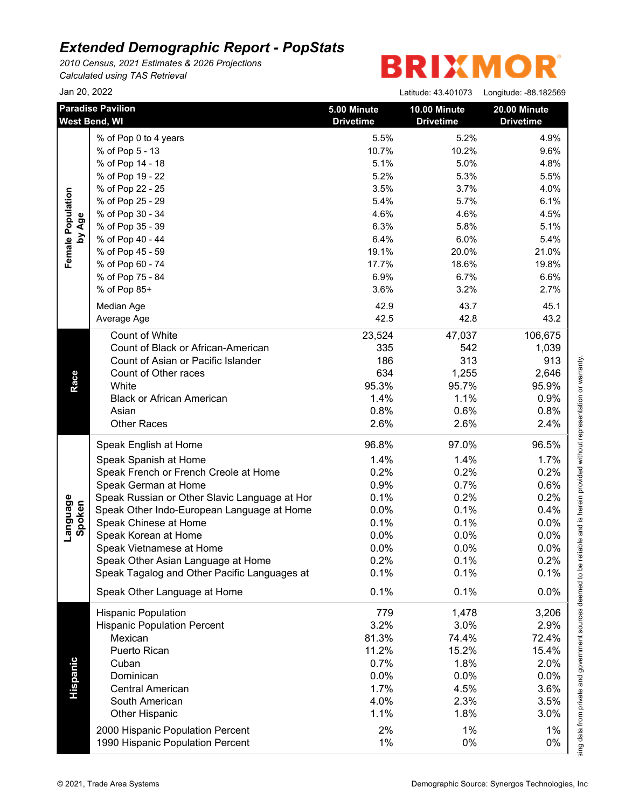*2010 Census, 2021 Estimates & 2026 Projections Calculated using TAS Retrieval*

# **BRIXMOR®**

|                    | Jan 20, 2022                                     |                                 |                                  | Latitude: 43.401073    Longitude: -88.182569 |
|--------------------|--------------------------------------------------|---------------------------------|----------------------------------|----------------------------------------------|
|                    | <b>Paradise Pavilion</b><br><b>West Bend, WI</b> | 5.00 Minute<br><b>Drivetime</b> | 10.00 Minute<br><b>Drivetime</b> | <b>20.00 Minute</b><br><b>Drivetime</b>      |
|                    | % of Pop 0 to 4 years                            | 5.5%                            | 5.2%                             | 4.9%                                         |
|                    | % of Pop 5 - 13                                  | 10.7%                           | 10.2%                            | 9.6%                                         |
|                    | % of Pop 14 - 18                                 | 5.1%                            | 5.0%                             | 4.8%                                         |
|                    | % of Pop 19 - 22                                 | 5.2%                            | 5.3%                             | 5.5%                                         |
|                    | % of Pop 22 - 25                                 | 3.5%                            | 3.7%                             | 4.0%                                         |
|                    | % of Pop 25 - 29                                 | 5.4%                            | 5.7%                             | 6.1%                                         |
|                    | % of Pop 30 - 34                                 | 4.6%                            | 4.6%                             | 4.5%                                         |
| by Age             | % of Pop 35 - 39                                 | 6.3%                            | 5.8%                             | 5.1%                                         |
|                    | % of Pop 40 - 44                                 | 6.4%                            | 6.0%                             | 5.4%                                         |
|                    | % of Pop 45 - 59                                 | 19.1%                           | 20.0%                            | 21.0%                                        |
|                    | % of Pop 60 - 74                                 | 17.7%                           | 18.6%                            | 19.8%                                        |
|                    | % of Pop 75 - 84                                 | 6.9%                            | 6.7%                             | 6.6%                                         |
|                    | % of Pop 85+                                     | 3.6%                            | 3.2%                             | 2.7%                                         |
|                    |                                                  |                                 |                                  |                                              |
|                    | Median Age                                       | 42.9                            | 43.7                             | 45.1                                         |
|                    | Average Age                                      | 42.5                            | 42.8                             | 43.2                                         |
|                    | Count of White                                   | 23,524                          | 47,037                           | 106,675                                      |
|                    | Count of Black or African-American               | 335                             | 542                              | 1,039                                        |
|                    | Count of Asian or Pacific Islander               | 186                             | 313                              | 913                                          |
|                    | Count of Other races                             | 634                             | 1,255                            | 2,646                                        |
|                    | White                                            | 95.3%                           | 95.7%                            | 95.9%                                        |
|                    | <b>Black or African American</b>                 | 1.4%                            | 1.1%                             | 0.9%                                         |
|                    | Asian                                            | 0.8%                            | 0.6%                             | 0.8%                                         |
|                    | <b>Other Races</b>                               | 2.6%                            | 2.6%                             | 2.4%                                         |
|                    | Speak English at Home                            | 96.8%                           | 97.0%                            | 96.5%                                        |
|                    | Speak Spanish at Home                            | 1.4%                            | 1.4%                             | 1.7%                                         |
|                    | Speak French or French Creole at Home            | 0.2%                            | 0.2%                             | 0.2%                                         |
|                    | Speak German at Home                             | 0.9%                            | 0.7%                             | 0.6%                                         |
|                    | Speak Russian or Other Slavic Language at Hor    | 0.1%                            | 0.2%                             | 0.2%                                         |
|                    | Speak Other Indo-European Language at Home       | 0.0%                            | 0.1%                             | 0.4%                                         |
|                    | Speak Chinese at Home                            | 0.1%                            | 0.1%                             | 0.0%                                         |
| Language<br>Spoken | Speak Korean at Home                             | 0.0%                            | 0.0%                             | 0.0%                                         |
|                    | Speak Vietnamese at Home                         | 0.0%                            | 0.0%                             | 0.0%                                         |
|                    | Speak Other Asian Language at Home               | 0.2%                            | 0.1%                             | 0.2%                                         |
|                    | Speak Tagalog and Other Pacific Languages at     | 0.1%                            | 0.1%                             | 0.1%                                         |
|                    | Speak Other Language at Home                     | 0.1%                            | 0.1%                             | 0.0%                                         |
|                    | <b>Hispanic Population</b>                       | 779                             | 1,478                            | 3,206                                        |
|                    | <b>Hispanic Population Percent</b>               | 3.2%                            | 3.0%                             | 2.9%                                         |
|                    | Mexican                                          | 81.3%                           | 74.4%                            | 72.4%                                        |
|                    | Puerto Rican                                     | 11.2%                           | 15.2%                            | 15.4%                                        |
|                    | Cuban                                            | 0.7%                            | 1.8%                             | 2.0%                                         |
|                    | Dominican                                        | 0.0%                            | 0.0%                             | 0.0%                                         |
| <b>Hispanic</b>    | <b>Central American</b>                          | 1.7%                            | 4.5%                             | 3.6%                                         |
|                    | South American                                   | 4.0%                            | 2.3%                             | 3.5%                                         |
|                    | <b>Other Hispanic</b>                            | 1.1%                            | 1.8%                             | 3.0%                                         |
|                    | 2000 Hispanic Population Percent                 | 2%                              | 1%                               | 1%                                           |
|                    | 1990 Hispanic Population Percent                 | 1%                              | 0%                               | 0%                                           |
|                    |                                                  |                                 |                                  |                                              |

This report was produced using data from private and government sources deemed to be reliable and is herein provided without representation or warranty.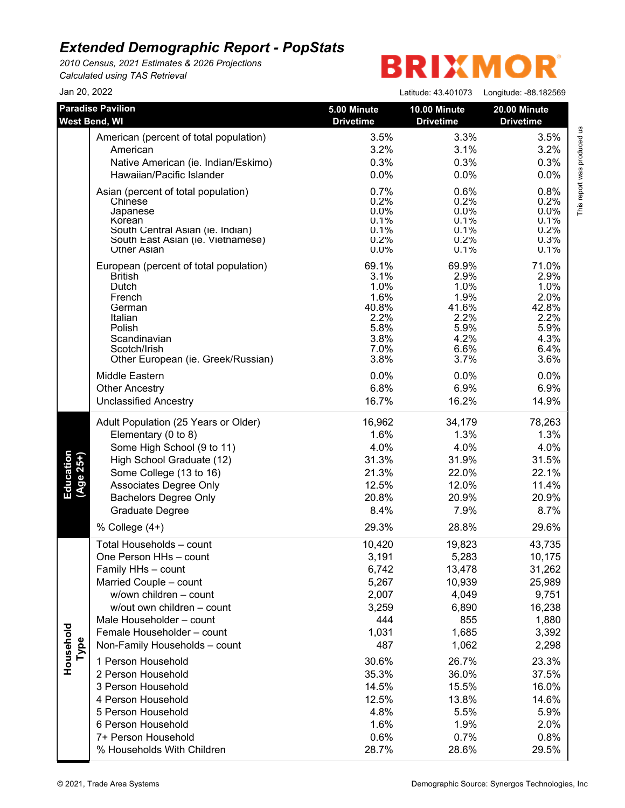*2010 Census, 2021 Estimates & 2026 Projections Calculated using TAS Retrieval*

| Jan 20, 2022           |                                                                       |                                 | Latitude: 43.401073              | Longitude: -88.182569                   |
|------------------------|-----------------------------------------------------------------------|---------------------------------|----------------------------------|-----------------------------------------|
|                        | <b>Paradise Pavilion</b><br>West Bend, WI                             | 5.00 Minute<br><b>Drivetime</b> | 10.00 Minute<br><b>Drivetime</b> | <b>20.00 Minute</b><br><b>Drivetime</b> |
|                        | American (percent of total population)                                | 3.5%                            | 3.3%                             | 3.5%                                    |
|                        | American                                                              | 3.2%                            | 3.1%                             | 3.2%                                    |
|                        | Native American (ie. Indian/Eskimo)                                   | 0.3%                            | 0.3%                             | 0.3%                                    |
|                        | Hawaiian/Pacific Islander                                             | 0.0%                            | 0.0%                             | 0.0%                                    |
|                        | Asian (percent of total population)                                   | 0.7%                            | 0.6%                             | 0.8%                                    |
|                        | Chinese                                                               | 0.2%                            | 0.2%                             | 0.2%                                    |
|                        | Japanese                                                              | $0.0\%$                         | $0.0\%$                          | $0.0\%$                                 |
|                        | Korean                                                                | 0.1%                            | 0.1%                             | 0.1%                                    |
|                        | South Central Asian (ie. Indian)<br>South East Asian (ie. Vietnamese) | 0.1%<br>0.2%                    | 0.1%<br>0.2%                     | 0.2%<br>0.3%                            |
|                        | <b>Other Asian</b>                                                    | $0.0\%$                         | 0.1%                             | 0.1%                                    |
|                        | European (percent of total population)                                | 69.1%                           | 69.9%                            | 71.0%                                   |
|                        | <b>British</b>                                                        | 3.1%                            | 2.9%                             | 2.9%                                    |
|                        | Dutch                                                                 | 1.0%                            | 1.0%                             | 1.0%                                    |
|                        | French                                                                | 1.6%                            | 1.9%                             | 2.0%                                    |
|                        | German<br>Italian                                                     | 40.8%<br>2.2%                   | 41.6%<br>2.2%                    | 42.8%<br>2.2%                           |
|                        | Polish                                                                | 5.8%                            | 5.9%                             | 5.9%                                    |
|                        | Scandinavian                                                          | 3.8%                            | 4.2%                             | 4.3%                                    |
|                        | Scotch/Irish                                                          | 7.0%                            | 6.6%                             | 6.4%                                    |
|                        | Other European (ie. Greek/Russian)                                    | 3.8%                            | 3.7%                             | 3.6%                                    |
|                        | Middle Eastern                                                        | 0.0%                            | 0.0%                             | 0.0%                                    |
|                        | <b>Other Ancestry</b>                                                 | 6.8%                            | 6.9%                             | 6.9%                                    |
|                        | <b>Unclassified Ancestry</b>                                          | 16.7%                           | 16.2%                            | 14.9%                                   |
|                        | Adult Population (25 Years or Older)                                  | 16,962                          | 34,179                           | 78,263                                  |
|                        | Elementary (0 to 8)                                                   | 1.6%                            | 1.3%                             | 1.3%                                    |
|                        | Some High School (9 to 11)                                            | 4.0%                            | 4.0%                             | 4.0%                                    |
|                        | High School Graduate (12)                                             | 31.3%                           | 31.9%                            | 31.5%                                   |
|                        | Some College (13 to 16)                                               | 21.3%                           | 22.0%                            | 22.1%                                   |
| Education<br>(Age 25+) | Associates Degree Only                                                | 12.5%                           | 12.0%                            | 11.4%                                   |
|                        | <b>Bachelors Degree Only</b>                                          | 20.8%                           | 20.9%                            | 20.9%                                   |
|                        | Graduate Degree                                                       | 8.4%                            | 7.9%                             | 8.7%                                    |
|                        | % College $(4+)$                                                      | 29.3%                           | 28.8%                            | 29.6%                                   |
|                        | Total Households - count                                              | 10,420                          | 19,823                           | 43,735                                  |
|                        | One Person HHs - count                                                | 3,191                           | 5,283                            | 10,175                                  |
|                        | Family HHs - count                                                    | 6,742                           | 13,478                           | 31,262                                  |
|                        | Married Couple - count                                                | 5,267                           | 10,939                           | 25,989                                  |
|                        | w/own children - count                                                | 2,007                           | 4,049                            | 9,751                                   |
|                        | w/out own children - count                                            | 3,259                           | 6,890                            | 16,238                                  |
|                        | Male Householder - count                                              | 444                             | 855                              | 1,880                                   |
|                        | Female Householder - count                                            | 1,031                           | 1,685                            | 3,392                                   |
| Household<br>Type      | Non-Family Households - count                                         | 487                             | 1,062                            | 2,298                                   |
|                        | 1 Person Household                                                    | 30.6%                           | 26.7%                            | 23.3%                                   |
|                        | 2 Person Household                                                    | 35.3%                           | 36.0%                            | 37.5%                                   |
|                        | 3 Person Household                                                    | 14.5%                           | 15.5%                            | 16.0%                                   |
|                        | 4 Person Household                                                    | 12.5%                           | 13.8%                            | 14.6%                                   |
|                        | 5 Person Household                                                    | 4.8%                            | 5.5%                             | 5.9%                                    |
|                        | 6 Person Household                                                    | 1.6%                            | 1.9%                             | 2.0%                                    |
|                        | 7+ Person Household                                                   | 0.6%                            | 0.7%                             | 0.8%                                    |
|                        | % Households With Children                                            | 28.7%                           | 28.6%                            | 29.5%                                   |
|                        |                                                                       |                                 |                                  |                                         |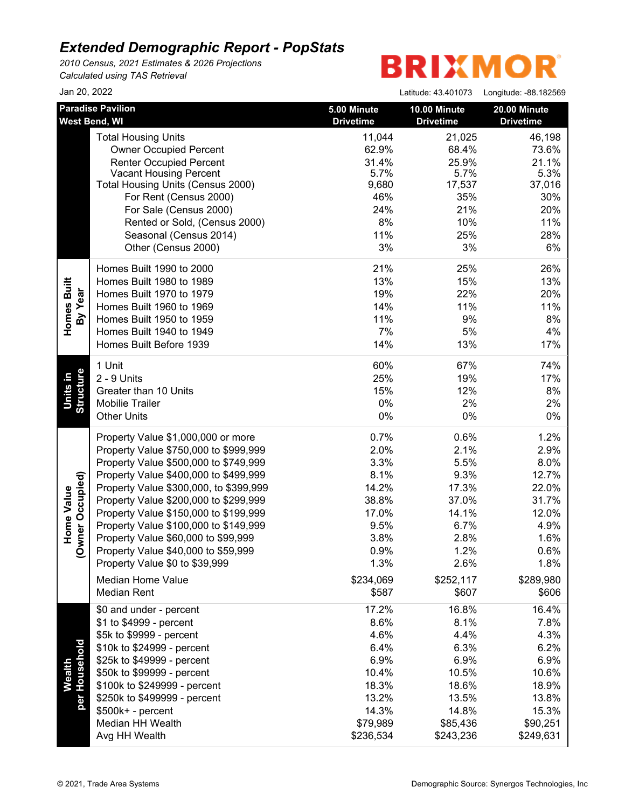*2010 Census, 2021 Estimates & 2026 Projections Calculated using TAS Retrieval*

| Jan 20, 2022           |                                           |                                 | Latitude: 43.401073              | Longitude: -88.182569            |
|------------------------|-------------------------------------------|---------------------------------|----------------------------------|----------------------------------|
|                        | <b>Paradise Pavilion</b><br>West Bend, WI | 5.00 Minute<br><b>Drivetime</b> | 10.00 Minute<br><b>Drivetime</b> | 20.00 Minute<br><b>Drivetime</b> |
|                        | <b>Total Housing Units</b>                | 11,044                          | 21,025                           | 46,198                           |
|                        | <b>Owner Occupied Percent</b>             | 62.9%                           | 68.4%                            | 73.6%                            |
|                        | <b>Renter Occupied Percent</b>            | 31.4%                           | 25.9%                            | 21.1%                            |
|                        | <b>Vacant Housing Percent</b>             | 5.7%                            | 5.7%                             | 5.3%                             |
|                        | Total Housing Units (Census 2000)         | 9,680                           | 17,537                           | 37,016                           |
|                        | For Rent (Census 2000)                    | 46%                             | 35%                              | 30%                              |
|                        | For Sale (Census 2000)                    | 24%                             | 21%                              | 20%                              |
|                        | Rented or Sold, (Census 2000)             | 8%                              | 10%                              | 11%                              |
|                        | Seasonal (Census 2014)                    | 11%                             | 25%                              | 28%                              |
|                        | Other (Census 2000)                       | 3%                              | 3%                               | 6%                               |
|                        | Homes Built 1990 to 2000                  | 21%                             | 25%                              | 26%                              |
|                        | Homes Built 1980 to 1989                  | 13%                             | 15%                              | 13%                              |
| Homes Built<br>By Year | Homes Built 1970 to 1979                  | 19%                             | 22%                              | 20%                              |
|                        | Homes Built 1960 to 1969                  | 14%                             | 11%                              | 11%                              |
|                        | Homes Built 1950 to 1959                  | 11%                             | 9%                               | 8%                               |
|                        | Homes Built 1940 to 1949                  | 7%                              | 5%                               | 4%                               |
|                        | Homes Built Before 1939                   | 14%                             | 13%                              | 17%                              |
|                        | 1 Unit                                    | 60%                             | 67%                              | 74%                              |
| <b>Structure</b>       | 2 - 9 Units                               | 25%                             | 19%                              | 17%                              |
|                        | Greater than 10 Units                     | 15%                             | 12%                              | 8%                               |
| Units in               | <b>Mobilie Trailer</b>                    | 0%                              | 2%                               | 2%                               |
|                        | <b>Other Units</b>                        | $0\%$                           | $0\%$                            | $0\%$                            |
|                        | Property Value \$1,000,000 or more        | 0.7%                            | 0.6%                             | 1.2%                             |
|                        | Property Value \$750,000 to \$999,999     | 2.0%                            | 2.1%                             | 2.9%                             |
|                        | Property Value \$500,000 to \$749,999     | 3.3%                            | 5.5%                             | 8.0%                             |
|                        | Property Value \$400,000 to \$499,999     | 8.1%                            | 9.3%                             | 12.7%                            |
| Occupied)              | Property Value \$300,000, to \$399,999    | 14.2%                           | 17.3%                            | 22.0%                            |
| Home Value             | Property Value \$200,000 to \$299,999     | 38.8%                           | 37.0%                            | 31.7%                            |
|                        | Property Value \$150,000 to \$199,999     | 17.0%                           | 14.1%                            | 12.0%                            |
| rner                   | Property Value \$100,000 to \$149,999     | 9.5%                            | 6.7%                             | 4.9%                             |
|                        | Property Value \$60,000 to \$99,999       | 3.8%                            | 2.8%                             | 1.6%                             |
| $\check{\mathsf{S}}$   | Property Value \$40,000 to \$59,999       | 0.9%                            | 1.2%                             | 0.6%                             |
|                        | Property Value \$0 to \$39,999            | 1.3%                            | 2.6%                             | 1.8%                             |
|                        | <b>Median Home Value</b>                  | \$234,069                       | \$252,117                        | \$289,980                        |
|                        | Median Rent                               | \$587                           | \$607                            | \$606                            |
|                        | \$0 and under - percent                   | 17.2%                           | 16.8%                            | 16.4%                            |
|                        | \$1 to \$4999 - percent                   | 8.6%                            | 8.1%                             | 7.8%                             |
| Wealth<br>'Household   | \$5k to \$9999 - percent                  | 4.6%                            | 4.4%                             | 4.3%                             |
|                        | \$10k to \$24999 - percent                | 6.4%                            | 6.3%                             | 6.2%                             |
|                        | \$25k to \$49999 - percent                | 6.9%                            | 6.9%                             | 6.9%                             |
|                        | \$50k to \$99999 - percent                | 10.4%                           | 10.5%                            | 10.6%                            |
|                        | \$100k to \$249999 - percent              | 18.3%                           | 18.6%                            | 18.9%                            |
| per <sub>1</sub>       | \$250k to \$499999 - percent              | 13.2%                           | 13.5%                            | 13.8%                            |
|                        | \$500k+ - percent                         | 14.3%                           | 14.8%                            | 15.3%                            |
|                        | Median HH Wealth                          | \$79,989                        | \$85,436                         | \$90,251                         |
|                        | Avg HH Wealth                             | \$236,534                       | \$243,236                        | \$249,631                        |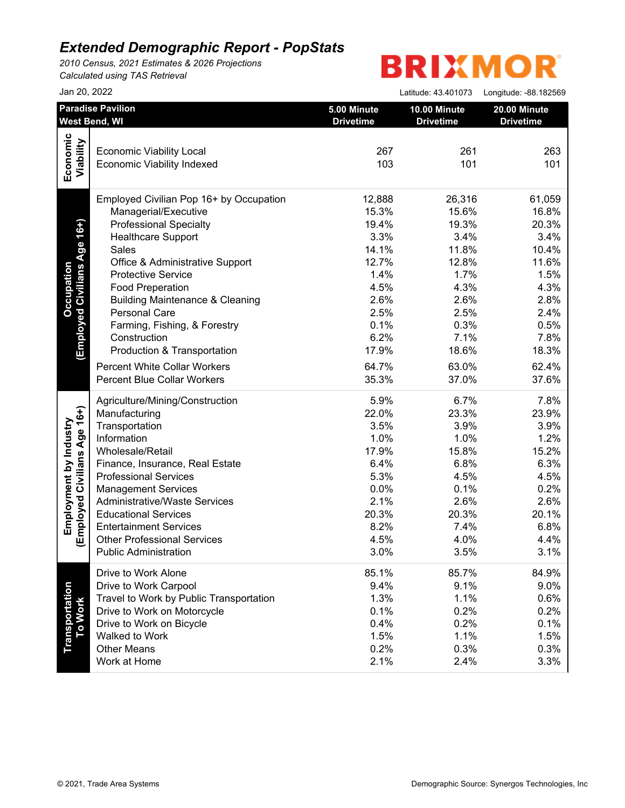*2010 Census, 2021 Estimates & 2026 Projections Calculated using TAS Retrieval*

| Jan 20, 2022                            |                                                                                                                                                                                                                                                                                                                                                   | Latitude: 43.401073                                                                                                | Longitude: -88.182569                                                                                                                                                                                                                                                                                       |
|-----------------------------------------|---------------------------------------------------------------------------------------------------------------------------------------------------------------------------------------------------------------------------------------------------------------------------------------------------------------------------------------------------|--------------------------------------------------------------------------------------------------------------------|-------------------------------------------------------------------------------------------------------------------------------------------------------------------------------------------------------------------------------------------------------------------------------------------------------------|
| <b>Paradise Pavilion</b>                | 5.00 Minute                                                                                                                                                                                                                                                                                                                                       | 10.00 Minute                                                                                                       | 20.00 Minute<br><b>Drivetime</b>                                                                                                                                                                                                                                                                            |
|                                         |                                                                                                                                                                                                                                                                                                                                                   |                                                                                                                    |                                                                                                                                                                                                                                                                                                             |
|                                         |                                                                                                                                                                                                                                                                                                                                                   |                                                                                                                    | 263                                                                                                                                                                                                                                                                                                         |
|                                         |                                                                                                                                                                                                                                                                                                                                                   |                                                                                                                    | 101                                                                                                                                                                                                                                                                                                         |
|                                         |                                                                                                                                                                                                                                                                                                                                                   |                                                                                                                    |                                                                                                                                                                                                                                                                                                             |
| Employed Civilian Pop 16+ by Occupation | 12,888                                                                                                                                                                                                                                                                                                                                            |                                                                                                                    | 61,059                                                                                                                                                                                                                                                                                                      |
| Managerial/Executive                    | 15.3%                                                                                                                                                                                                                                                                                                                                             |                                                                                                                    | 16.8%                                                                                                                                                                                                                                                                                                       |
| <b>Professional Specialty</b>           | 19.4%                                                                                                                                                                                                                                                                                                                                             |                                                                                                                    | 20.3%                                                                                                                                                                                                                                                                                                       |
| <b>Healthcare Support</b>               | 3.3%                                                                                                                                                                                                                                                                                                                                              |                                                                                                                    | 3.4%                                                                                                                                                                                                                                                                                                        |
| Sales                                   | 14.1%                                                                                                                                                                                                                                                                                                                                             |                                                                                                                    | 10.4%                                                                                                                                                                                                                                                                                                       |
| Office & Administrative Support         | 12.7%                                                                                                                                                                                                                                                                                                                                             |                                                                                                                    | 11.6%                                                                                                                                                                                                                                                                                                       |
| <b>Protective Service</b>               | 1.4%                                                                                                                                                                                                                                                                                                                                              |                                                                                                                    | 1.5%                                                                                                                                                                                                                                                                                                        |
| <b>Food Preperation</b>                 | 4.5%                                                                                                                                                                                                                                                                                                                                              |                                                                                                                    | 4.3%                                                                                                                                                                                                                                                                                                        |
|                                         | 2.6%                                                                                                                                                                                                                                                                                                                                              |                                                                                                                    | 2.8%                                                                                                                                                                                                                                                                                                        |
| Personal Care                           | 2.5%                                                                                                                                                                                                                                                                                                                                              |                                                                                                                    | 2.4%                                                                                                                                                                                                                                                                                                        |
|                                         |                                                                                                                                                                                                                                                                                                                                                   |                                                                                                                    | 0.5%                                                                                                                                                                                                                                                                                                        |
|                                         |                                                                                                                                                                                                                                                                                                                                                   |                                                                                                                    | 7.8%                                                                                                                                                                                                                                                                                                        |
|                                         |                                                                                                                                                                                                                                                                                                                                                   |                                                                                                                    | 18.3%                                                                                                                                                                                                                                                                                                       |
|                                         |                                                                                                                                                                                                                                                                                                                                                   |                                                                                                                    | 62.4%                                                                                                                                                                                                                                                                                                       |
|                                         |                                                                                                                                                                                                                                                                                                                                                   |                                                                                                                    |                                                                                                                                                                                                                                                                                                             |
|                                         |                                                                                                                                                                                                                                                                                                                                                   |                                                                                                                    | 37.6%                                                                                                                                                                                                                                                                                                       |
| Agriculture/Mining/Construction         |                                                                                                                                                                                                                                                                                                                                                   |                                                                                                                    | 7.8%                                                                                                                                                                                                                                                                                                        |
|                                         |                                                                                                                                                                                                                                                                                                                                                   |                                                                                                                    | 23.9%                                                                                                                                                                                                                                                                                                       |
|                                         |                                                                                                                                                                                                                                                                                                                                                   |                                                                                                                    | 3.9%                                                                                                                                                                                                                                                                                                        |
|                                         |                                                                                                                                                                                                                                                                                                                                                   |                                                                                                                    | 1.2%                                                                                                                                                                                                                                                                                                        |
| Wholesale/Retail                        | 17.9%                                                                                                                                                                                                                                                                                                                                             |                                                                                                                    | 15.2%                                                                                                                                                                                                                                                                                                       |
| Finance, Insurance, Real Estate         | 6.4%                                                                                                                                                                                                                                                                                                                                              |                                                                                                                    | 6.3%                                                                                                                                                                                                                                                                                                        |
| <b>Professional Services</b>            | 5.3%                                                                                                                                                                                                                                                                                                                                              |                                                                                                                    | 4.5%                                                                                                                                                                                                                                                                                                        |
| <b>Management Services</b>              | 0.0%                                                                                                                                                                                                                                                                                                                                              |                                                                                                                    | 0.2%                                                                                                                                                                                                                                                                                                        |
| <b>Administrative/Waste Services</b>    |                                                                                                                                                                                                                                                                                                                                                   |                                                                                                                    | 2.6%                                                                                                                                                                                                                                                                                                        |
| <b>Educational Services</b>             | 20.3%                                                                                                                                                                                                                                                                                                                                             |                                                                                                                    | 20.1%                                                                                                                                                                                                                                                                                                       |
| <b>Entertainment Services</b>           | 8.2%                                                                                                                                                                                                                                                                                                                                              |                                                                                                                    | 6.8%                                                                                                                                                                                                                                                                                                        |
| <b>Other Professional Services</b>      | 4.5%                                                                                                                                                                                                                                                                                                                                              | 4.0%                                                                                                               | 4.4%                                                                                                                                                                                                                                                                                                        |
| <b>Public Administration</b>            | 3.0%                                                                                                                                                                                                                                                                                                                                              | 3.5%                                                                                                               | 3.1%                                                                                                                                                                                                                                                                                                        |
| Drive to Work Alone                     | 85.1%                                                                                                                                                                                                                                                                                                                                             |                                                                                                                    | 84.9%                                                                                                                                                                                                                                                                                                       |
| Drive to Work Carpool                   | 9.4%                                                                                                                                                                                                                                                                                                                                              |                                                                                                                    | 9.0%                                                                                                                                                                                                                                                                                                        |
| Travel to Work by Public Transportation | 1.3%                                                                                                                                                                                                                                                                                                                                              |                                                                                                                    | 0.6%                                                                                                                                                                                                                                                                                                        |
| Drive to Work on Motorcycle             | 0.1%                                                                                                                                                                                                                                                                                                                                              |                                                                                                                    | 0.2%                                                                                                                                                                                                                                                                                                        |
| Drive to Work on Bicycle                | 0.4%                                                                                                                                                                                                                                                                                                                                              |                                                                                                                    | 0.1%                                                                                                                                                                                                                                                                                                        |
| Walked to Work                          | 1.5%                                                                                                                                                                                                                                                                                                                                              |                                                                                                                    | 1.5%                                                                                                                                                                                                                                                                                                        |
| <b>Other Means</b>                      | 0.2%                                                                                                                                                                                                                                                                                                                                              | 0.3%                                                                                                               | 0.3%                                                                                                                                                                                                                                                                                                        |
| Work at Home                            | 2.1%                                                                                                                                                                                                                                                                                                                                              | 2.4%                                                                                                               | 3.3%                                                                                                                                                                                                                                                                                                        |
|                                         | West Bend, WI<br><b>Economic Viability Local</b><br><b>Economic Viability Indexed</b><br><b>Building Maintenance &amp; Cleaning</b><br>Farming, Fishing, & Forestry<br>Construction<br>Production & Transportation<br><b>Percent White Collar Workers</b><br><b>Percent Blue Collar Workers</b><br>Manufacturing<br>Transportation<br>Information | <b>Drivetime</b><br>267<br>103<br>0.1%<br>6.2%<br>17.9%<br>64.7%<br>35.3%<br>5.9%<br>22.0%<br>3.5%<br>1.0%<br>2.1% | <b>Drivetime</b><br>261<br>101<br>26,316<br>15.6%<br>19.3%<br>3.4%<br>11.8%<br>12.8%<br>1.7%<br>4.3%<br>2.6%<br>2.5%<br>0.3%<br>7.1%<br>18.6%<br>63.0%<br>37.0%<br>6.7%<br>23.3%<br>3.9%<br>1.0%<br>15.8%<br>6.8%<br>4.5%<br>0.1%<br>2.6%<br>20.3%<br>7.4%<br>85.7%<br>9.1%<br>1.1%<br>0.2%<br>0.2%<br>1.1% |